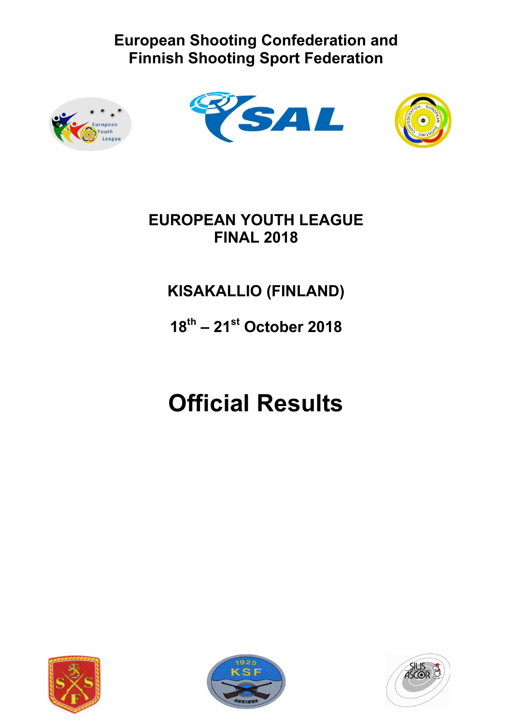





## **EUROPEAN YOUTH LEAGUE FINAL 2018**

## **KISAKALLIO (FINLAND)**

## **18th – 21st October 2018**

## **Official Results**





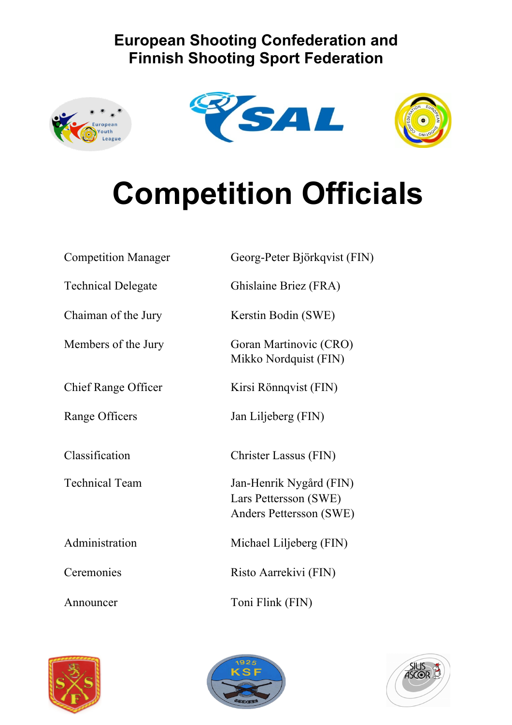





# **Competition Officials**

| <b>Competition Manager</b> | Georg-Peter Björkqvist (FIN)                                                |
|----------------------------|-----------------------------------------------------------------------------|
| <b>Technical Delegate</b>  | Ghislaine Briez (FRA)                                                       |
| Chaiman of the Jury        | Kerstin Bodin (SWE)                                                         |
| Members of the Jury        | Goran Martinovic (CRO)<br>Mikko Nordquist (FIN)                             |
| <b>Chief Range Officer</b> | Kirsi Rönnqvist (FIN)                                                       |
| Range Officers             | Jan Liljeberg (FIN)                                                         |
| Classification             | Christer Lassus (FIN)                                                       |
| <b>Technical Team</b>      | Jan-Henrik Nygård (FIN)<br>Lars Pettersson (SWE)<br>Anders Pettersson (SWE) |
| Administration             | Michael Liljeberg (FIN)                                                     |
| Ceremonies                 | Risto Aarrekivi (FIN)                                                       |
| Announcer                  | Toni Flink (FIN)                                                            |





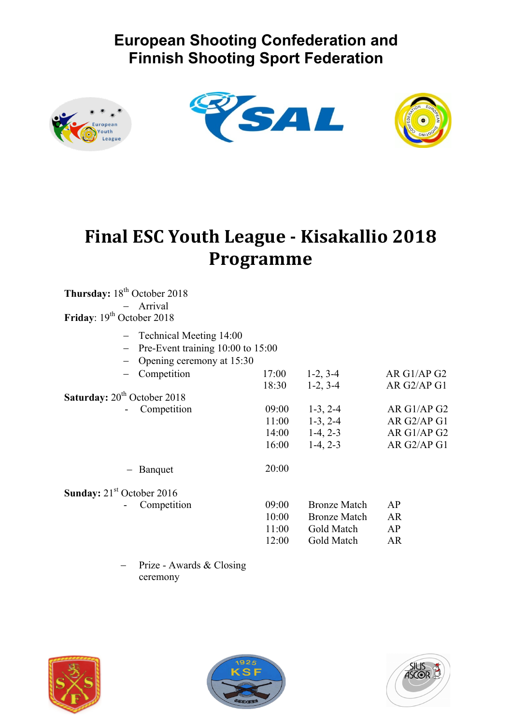





## **Final ESC Youth League - Kisakallio 2018 Programme**

| Thursday: 18 <sup>th</sup> October 2018        |       |                     |             |
|------------------------------------------------|-------|---------------------|-------------|
| - Arrival                                      |       |                     |             |
| Friday: 19 <sup>th</sup> October 2018          |       |                     |             |
| - Technical Meeting 14:00                      |       |                     |             |
| Pre-Event training 10:00 to 15:00              |       |                     |             |
| Opening ceremony at 15:30                      |       |                     |             |
| Competition                                    | 17:00 | $1-2, 3-4$          | AR G1/AP G2 |
|                                                | 18:30 | $1-2, 3-4$          | AR G2/AP G1 |
| <b>Saturday:</b> 20 <sup>th</sup> October 2018 |       |                     |             |
| Competition                                    | 09:00 | $1-3, 2-4$          | AR G1/AP G2 |
|                                                | 11:00 | $1-3, 2-4$          | AR G2/AP G1 |
|                                                |       | $14:00$ 1-4, 2-3    | AR G1/AP G2 |
|                                                | 16:00 | $1-4, 2-3$          | AR G2/AP G1 |
| Banquet                                        | 20:00 |                     |             |
| <b>Sunday:</b> $21st$ October 2016             |       |                     |             |
| Competition                                    | 09:00 | <b>Bronze Match</b> | AP          |
|                                                | 10:00 | <b>Bronze Match</b> | <b>AR</b>   |
|                                                | 11:00 | Gold Match          | AP          |
|                                                | 12:00 | Gold Match          | <b>AR</b>   |
| Prize - Awards & Closing                       |       |                     |             |

Prize - Awards & Closing ceremony





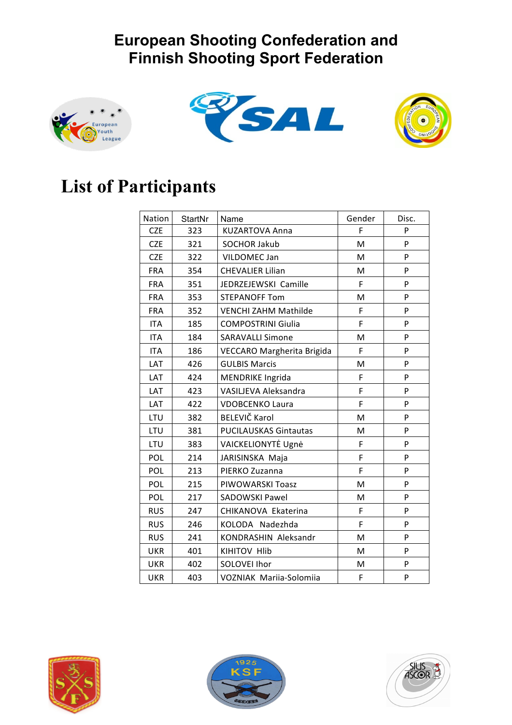





## **List of Participants**

| <b>Nation</b> | <b>StartNr</b> | Name                           | Gender | Disc. |
|---------------|----------------|--------------------------------|--------|-------|
| <b>CZE</b>    | 323            | <b>KUZARTOVA Anna</b>          | F      | P     |
| <b>CZE</b>    | 321            | <b>SOCHOR Jakub</b>            | M      | P     |
| <b>CZE</b>    | 322            | VILDOMEC Jan                   | M      | P     |
| <b>FRA</b>    | 354            | <b>CHEVALIER Lilian</b>        | M      | P     |
| <b>FRA</b>    | 351            | JEDRZEJEWSKI Camille           | F      | P     |
| <b>FRA</b>    | 353            | <b>STEPANOFF Tom</b>           | M      | P     |
| <b>FRA</b>    | 352            | <b>VENCHI ZAHM Mathilde</b>    | F      | P     |
| <b>ITA</b>    | 185            | <b>COMPOSTRINI Giulia</b>      | F      | P     |
| <b>ITA</b>    | 184            | <b>SARAVALLI Simone</b>        | M      | P     |
| <b>ITA</b>    | 186            | VECCARO Margherita Brigida     | F      | P     |
| <b>LAT</b>    | 426            | <b>GULBIS Marcis</b>           | M      | P     |
| LAT           | 424            | <b>MENDRIKE Ingrida</b>        | F      | P     |
| LAT           | 423            | VASILJEVA Aleksandra           | F      | P     |
| LAT           | 422            | <b>VDOBCENKO Laura</b>         | F      | P     |
| LTU           | 382            | <b>BELEVIČ Karol</b>           | M      | P     |
| LTU           | 381            | <b>PUCILAUSKAS Gintautas</b>   | М      | P     |
| LTU           | 383            | VAICKELIONYTĖ Ugnė             | F      | P     |
| POL           | 214            | JARISINSKA Maja                | F      | P     |
| POL           | 213            | PIERKO Zuzanna                 | F      | P     |
| POL           | 215            | PIWOWARSKI Toasz               | M      | P     |
| POL           | 217            | <b>SADOWSKI Pawel</b>          | M      | P     |
| <b>RUS</b>    | 247            | CHIKANOVA Ekaterina            | F      | P     |
| <b>RUS</b>    | 246            | KOLODA Nadezhda                | F      | P     |
| <b>RUS</b>    | 241            | KONDRASHIN Aleksandr           | M      | P     |
| <b>UKR</b>    | 401            | <b>KIHITOV HIIb</b>            | M      | P     |
| <b>UKR</b>    | 402            | SOLOVEI Ihor                   | M      | P     |
| <b>UKR</b>    | 403            | <b>VOZNIAK Mariia-Solomiia</b> | F      | P     |





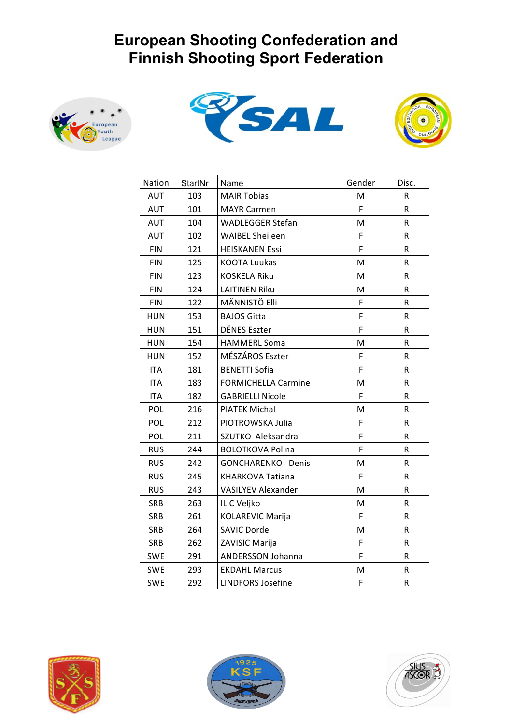





| Nation     | StartNr | Name                       | Gender | Disc.   |
|------------|---------|----------------------------|--------|---------|
| <b>AUT</b> | 103     | <b>MAIR Tobias</b>         | M      | R       |
| <b>AUT</b> | 101     | <b>MAYR Carmen</b>         | F      | $\sf R$ |
| AUT        | 104     | <b>WADLEGGER Stefan</b>    | M      | R       |
| <b>AUT</b> | 102     | <b>WAIBEL Sheileen</b>     | F      | R       |
| <b>FIN</b> | 121     | <b>HEISKANEN Essi</b>      | F      | R       |
| <b>FIN</b> | 125     | <b>KOOTA Luukas</b>        | M      | R       |
| <b>FIN</b> | 123     | <b>KOSKELA Riku</b>        | M      | R       |
| <b>FIN</b> | 124     | <b>LAITINEN Riku</b>       | M      | R       |
| <b>FIN</b> | 122     | MÄNNISTÖ Elli              | F      | R       |
| <b>HUN</b> | 153     | <b>BAJOS Gitta</b>         | F      | R       |
| <b>HUN</b> | 151     | <b>DÉNES Eszter</b>        | F      | R       |
| <b>HUN</b> | 154     | <b>HAMMERL Soma</b>        | M      | R       |
| <b>HUN</b> | 152     | MÉSZÁROS Eszter            | F      | R       |
| <b>ITA</b> | 181     | <b>BENETTI Sofia</b>       | F      | R       |
| <b>ITA</b> | 183     | <b>FORMICHELLA Carmine</b> | M      | R       |
| <b>ITA</b> | 182     | <b>GABRIELLI Nicole</b>    | F      | R       |
| POL        | 216     | <b>PIATEK Michal</b>       | M      | R       |
| POL        | 212     | PIOTROWSKA Julia           | F      | R       |
| POL        | 211     | SZUTKO Aleksandra          | F      | R       |
| <b>RUS</b> | 244     | <b>BOLOTKOVA Polina</b>    | F      | R       |
| <b>RUS</b> | 242     | GONCHARENKO Denis          | M      | R       |
| <b>RUS</b> | 245     | <b>KHARKOVA Tatiana</b>    | F      | R       |
| <b>RUS</b> | 243     | VASILYEV Alexander         | M      | R       |
| SRB        | 263     | <b>ILIC Veljko</b>         | M      | R       |
| SRB        | 261     | <b>KOLAREVIC Marija</b>    | F      | R       |
| SRB        | 264     | <b>SAVIC Dorde</b>         | M      | R       |
| SRB        | 262     | ZAVISIC Marija             | F      | R       |
| <b>SWE</b> | 291     | <b>ANDERSSON Johanna</b>   | F      | R       |
| <b>SWE</b> | 293     | <b>EKDAHL Marcus</b>       | M      | R       |
| <b>SWE</b> | 292     | <b>LINDFORS Josefine</b>   | F      | R       |





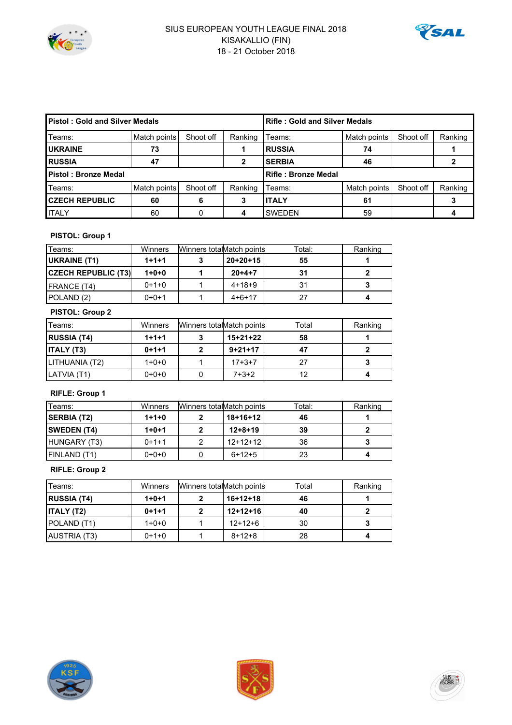



| <b>Pistol: Gold and Silver Medals</b> |              |           | <b>Rifle: Gold and Silver Medals</b> |                     |              |           |         |  |  |  |  |
|---------------------------------------|--------------|-----------|--------------------------------------|---------------------|--------------|-----------|---------|--|--|--|--|
| Teams:                                | Match points | Shoot off | Ranking                              | Teams:              | Match points | Shoot off | Ranking |  |  |  |  |
| <b>UKRAINE</b>                        | 73           |           |                                      | <b>IRUSSIA</b>      | 74           |           |         |  |  |  |  |
| <b>RUSSIA</b>                         | 47           |           | 2                                    | <b>SERBIA</b>       | 46           |           |         |  |  |  |  |
| Pistol: Bronze Medal                  |              |           |                                      | Rifle: Bronze Medal |              |           |         |  |  |  |  |
| Teams:                                | Match points | Shoot off | Ranking                              | Teams:              | Match points | Shoot off | Ranking |  |  |  |  |
| <b>CZECH REPUBLIC</b>                 | 60           | 6         | 3                                    | <b>I</b> ITALY      | 61           |           |         |  |  |  |  |
| <b>ITALY</b>                          | 60           |           | 4                                    | <b>SWEDEN</b>       | 59           |           |         |  |  |  |  |

#### **PISTOL: Group 1**

| Teams:                     | Winners | Winners totalMatch points |              | Total: | Ranking |
|----------------------------|---------|---------------------------|--------------|--------|---------|
| UKRAINE (T1)               | $1+1+1$ |                           | $20+20+15$   | 55     |         |
| <b>CZECH REPUBLIC (T3)</b> | $1+0+0$ |                           | $20+4+7$     | 31     |         |
| FRANCE (T4)                | $0+1+0$ |                           | $4+18+9$     | 31     |         |
| POLAND (2)                 | $0+0+1$ |                           | $4 + 6 + 17$ | 27     |         |

#### **PISTOL: Group 2**

| Teams:             | <b>Winners</b> | Winners totalMatch points |           | Total | Ranking |
|--------------------|----------------|---------------------------|-----------|-------|---------|
| <b>RUSSIA (T4)</b> | $1+1+1$        |                           | 15+21+22  | 58    |         |
| <b>ITALY (T3)</b>  | $0+1+1$        |                           | $9+21+17$ |       |         |
| LITHUANIA (T2)     | $1+0+0$        |                           | $17+3+7$  | 27    |         |
| LATVIA (T1)        | $0+0+0$        |                           | $7+3+2$   | 12    |         |

#### **RIFLE: Group 1**

| Teams:             | Winners | Winners totalMatch points |               | Total: | Ranking |
|--------------------|---------|---------------------------|---------------|--------|---------|
| <b>SERBIA (T2)</b> | $1+1+0$ |                           | 18+16+12      | 46     |         |
| <b>SWEDEN (T4)</b> | $1+0+1$ |                           | $12 + 8 + 19$ | 39     |         |
| HUNGARY (T3)       | $0+1+1$ |                           | $12+12+12$    | 36     |         |
| FINLAND (T1)       | $0+0+0$ |                           | $6+12+5$      | 23     |         |

#### **RIFLE: Group 2**

| Teams:             | Winners | Winners totalMatch points |              | Total | Ranking |
|--------------------|---------|---------------------------|--------------|-------|---------|
| <b>RUSSIA (T4)</b> | $1+0+1$ |                           | $16+12+18$   | 46    |         |
| <b>ITALY (T2)</b>  | $0+1+1$ |                           | $12+12+16$   | 40    |         |
| POLAND (T1)        | $1+0+0$ |                           | $12+12+6$    | 30    |         |
| AUSTRIA (T3)       | $0+1+0$ |                           | $8 + 12 + 8$ | 28    |         |





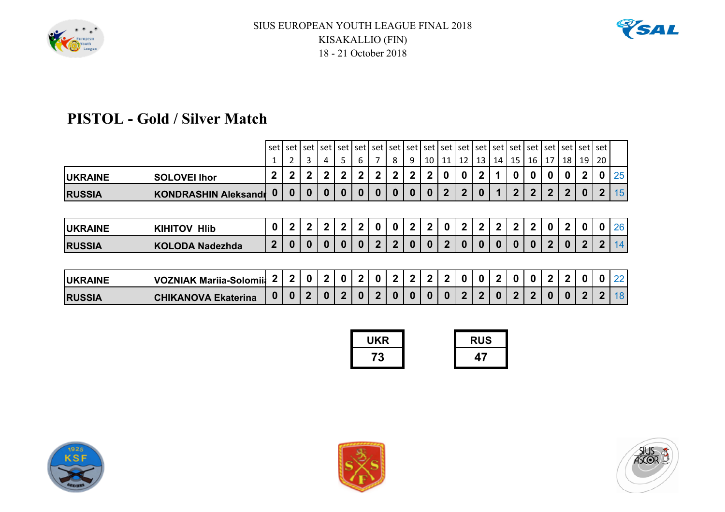



## **PISTOL - Gold / Silver Match**

|                |                          |                           |          |           |             |              |                         |             |                | set   set   set   set   set   set   set   set   set   set   set   set   set   set   set   set   set   set   set |              |             |                |              |    |    |                |                |                |          |                |                |
|----------------|--------------------------|---------------------------|----------|-----------|-------------|--------------|-------------------------|-------------|----------------|-----------------------------------------------------------------------------------------------------------------|--------------|-------------|----------------|--------------|----|----|----------------|----------------|----------------|----------|----------------|----------------|
|                |                          |                           |          | 3         |             | 5.           | 6                       |             | 8              | 9                                                                                                               | 10           | 11          | 12             | 13           | 14 | 15 | 16 I           | 17             | 18             | 19       | l 20           |                |
| <b>UKRAINE</b> | <b>SOLOVEI Ihor</b>      |                           | 2        | 2         | 2           | $\mathbf{2}$ | 2                       | 2           | 2 <sub>1</sub> | $\mathbf{2}$                                                                                                    | 2            | 0           |                | 2            |    |    | 0              | 0              | 0              | 2        | 0              | 25             |
| <b>RUSSIA</b>  | KONDRASHIN Aleksandr     | $\bf{0}$                  | 0        | 0         | 0           | $\bf{0}$     | 0                       | $\bf{0}$    | $\bf{0}$       | $\bf{0}$                                                                                                        | $\bf{0}$     | $\mathbf 2$ | $\overline{2}$ | $\bf{0}$     |    | 2  | 2 <sup>1</sup> | $\overline{2}$ | $\overline{2}$ | $\bf{0}$ | 2 <sub>1</sub> | 15             |
|                |                          |                           |          |           |             |              |                         |             |                |                                                                                                                 |              |             |                |              |    |    |                |                |                |          |                |                |
| <b>UKRAINE</b> | <b>KIHITOV HIIb</b>      | $\bf{0}$                  | 2        | 2         | 2           | $\mathbf{2}$ | 2                       | 0           | $\bf{0}$       | $\mathbf{2}$                                                                                                    | $\mathbf{2}$ | 0           | 2              | $\mathbf{2}$ | 2  | 2  | $\mathbf{2}$   | $\bf{0}$       | 2              | 0        | $\mathbf{0}$   | 26             |
| <b>RUSSIA</b>  | KOLODA Nadezhda          | 2                         | 0        | 0         | 0           | $\mathbf{0}$ | $\Omega$                | $\mathbf 2$ | 2 <sup>1</sup> | $\bf{0}$                                                                                                        | $\bf{0}$     | 2           |                | $\Omega$     |    |    | 0              | $\overline{2}$ | $\bf{0}$       | 2        | 2 <sup>1</sup> | 14             |
|                |                          |                           |          |           |             |              |                         |             |                |                                                                                                                 |              |             |                |              |    |    |                |                |                |          |                |                |
| .              | $\cdots$ $\sim$ $\cdots$ | $\mathbf{1}$ $\mathbf{2}$ | $\Omega$ | $\bigcap$ | <u>_ດ  </u> |              | <b>0000000000000000</b> |             |                | اد اماما د اماما د اد اد اد                                                                                     |              |             |                |              |    |    |                |                |                |          |                | $2$ $\sqrt{2}$ |

| <b>UKRAINE</b> | <b>VOZNIAK Marija-Solomija</b> |          |          |  |  | $0121$ | 2 <sup>1</sup> |              | $\begin{array}{c c c c c} \hline \textbf{1} & \textbf{2} & \textbf{1} & \textbf{2} & \textbf{0} & \textbf{1} \\ \hline \end{array}$ | 2 <sup>1</sup> | $01$ 0 | <u>າ</u> ເ | 2 <sup>1</sup> |  |    |
|----------------|--------------------------------|----------|----------|--|--|--------|----------------|--------------|-------------------------------------------------------------------------------------------------------------------------------------|----------------|--------|------------|----------------|--|----|
| <b>RUSSIA</b>  | <b>CHIKANOVA Ekaterina</b>     | $\bf{0}$ | $\bf{0}$ |  |  | 0200   |                | $\mathbf{0}$ | 0121                                                                                                                                |                |        | 022201     | 0 <sup>1</sup> |  | 18 |

| UKR | <b>RUS</b> |
|-----|------------|
|     |            |





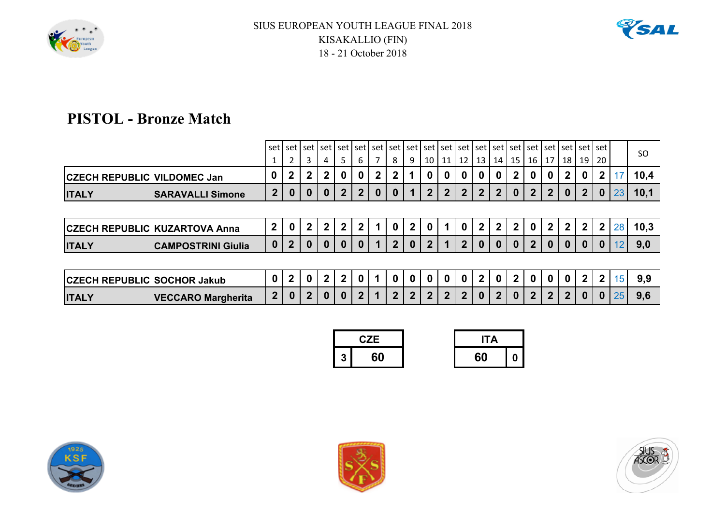



## **PISTOL - Bronze Match**

|                                    |                                      | set l            |   |   |   |              |   |              |    |    |              |    | set   set   set   set   set   set   set   set   set   set   set   set   set   set   set   set   set   set |    |    |    |              |                    |              |              |    | SO.  |
|------------------------------------|--------------------------------------|------------------|---|---|---|--------------|---|--------------|----|----|--------------|----|-----------------------------------------------------------------------------------------------------------|----|----|----|--------------|--------------------|--------------|--------------|----|------|
|                                    |                                      |                  |   | 3 | 4 | 5            | 6 | 8            | -9 | 10 |              | 12 | 13                                                                                                        | 14 | 15 | 16 |              | $\vert$ 18 $\vert$ | 19           | 20           |    |      |
| <b>CZECH REPUBLIC VILDOMEC Jan</b> |                                      | 0                | 2 |   |   | 0            | 0 | 2            |    |    |              | 0  |                                                                                                           | 0  | 2  | 0  | $\mathbf{0}$ | $\mathbf 2$        | 0            |              |    | 10,4 |
| <b>ITALY</b>                       | <b>SARAVALLI Simone</b>              | 2                | U |   | 0 | $\mathbf{2}$ | 2 | $\bf{0}$     |    | 2  | $\mathbf{2}$ | 2  | 2                                                                                                         | 2  | 0  | 2  | 2            | 0                  | $\mathbf{2}$ |              | 23 | 10,1 |
|                                    |                                      |                  |   |   |   |              |   |              |    |    |              |    |                                                                                                           |    |    |    |              |                    |              |              |    |      |
|                                    | <b>CZECH REPUBLIC KUZARTOVA Anna</b> | $\mathbf 2$      |   |   | 2 | $\mathbf{2}$ | 2 | 0            | 2  |    |              |    | 2                                                                                                         | 2  | כי | 0  | $\mathbf{2}$ | $\overline{2}$     | $\mathbf{2}$ | $\mathbf{2}$ | 28 | 10,3 |
| <b>ITALY</b>                       | <b>CAMPOSTRINI Giulia</b>            | $\boldsymbol{0}$ |   |   | 0 | $\bf{0}$     | 0 | $\mathbf{2}$ | 0  | כי |              | 2  | 0                                                                                                         | 0  |    | כי | 0            | 0                  | 0            |              |    | 9,0  |
|                                    |                                      |                  |   |   |   |              |   |              |    |    |              |    |                                                                                                           |    |    |    |              |                    |              |              |    |      |

| <b>CZECH REPUBLIC SOCHOR Jakub</b> |                           |  |  |  |  | 0 | 0 | $\mathbf{0}$ | 0 |              | n |              |  |   |       |     |
|------------------------------------|---------------------------|--|--|--|--|---|---|--------------|---|--------------|---|--------------|--|---|-------|-----|
| <b>ITALY</b>                       | <b>VECCARO Margherita</b> |  |  |  |  |   |   |              |   | $\mathbf{u}$ |   | $\mathsf{A}$ |  | n | 01251 | 9.6 |

|   | C.ZE | IΤΔ |  |
|---|------|-----|--|
| 2 |      |     |  |





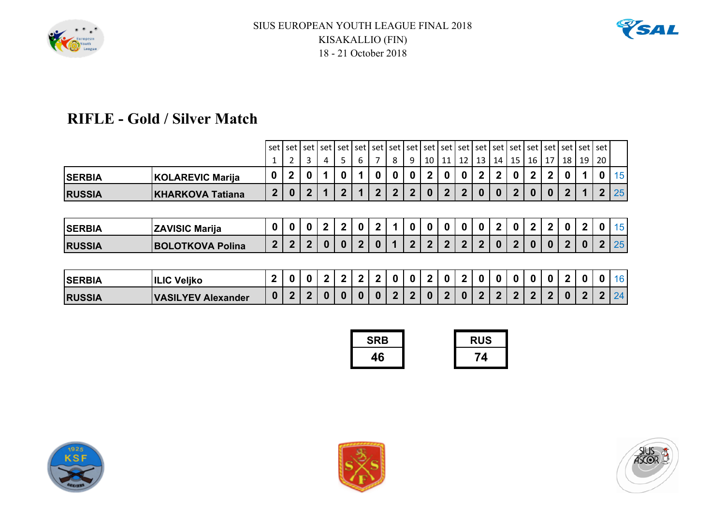



## **RIFLE - Gold / Silver Match**

|               |                         |                | set   set   set   set   set   set   set   set   set   set   set   set   set   set   set   set   set   set   set   set   set |              |      |              |              |   |                |                     |              |                |                 |                |              |              |                |              |                |                      |                |             |
|---------------|-------------------------|----------------|-----------------------------------------------------------------------------------------------------------------------------|--------------|------|--------------|--------------|---|----------------|---------------------|--------------|----------------|-----------------|----------------|--------------|--------------|----------------|--------------|----------------|----------------------|----------------|-------------|
|               |                         |                | ∍                                                                                                                           | 3            |      | 5.           | 6            |   | 8              | 9                   | 10           | 11             | 12 <sub>1</sub> | 13             | 14           | 15           | 16 I           | 17           | 18             | 19                   | <b>20</b>      |             |
| <b>SERBIA</b> | <b>KOLAREVIC Marija</b> | 0              | $\overline{2}$                                                                                                              | $\bf{0}$     |      |              |              | 0 | $\bf{0}$       | 0                   | $\mathbf{2}$ | $\bf{0}$       |                 | $\overline{2}$ | 2            | 0            | $\mathbf{2}$   | $\mathbf 2$  | 0              |                      |                | 15          |
| <b>RUSSIA</b> | <b>KHARKOVA Tatiana</b> | $\mathbf{2}$   | $\bf{0}$                                                                                                                    | 2            |      | 2            |              | 2 | 2 <sub>1</sub> | $\overline{2}$      | $\bf{0}$     | $\overline{2}$ | $\overline{2}$  | $\bf{0}$       | $\Omega$     | $\mathbf 2$  | $\bf{0}$       | $\bf{0}$     | $\mathbf{2}$   |                      |                | $2 \mid 25$ |
|               |                         |                |                                                                                                                             |              |      |              |              |   |                |                     |              |                |                 |                |              |              |                |              |                |                      |                |             |
| <b>SERBIA</b> | <b>ZAVISIC Marija</b>   | $\bf{0}$       | $\bf{0}$                                                                                                                    | 0            | 2    | $\mathbf{2}$ | 0            | 2 |                | 0                   | 0            | 0              |                 | $\Omega$       | 2            | $\bf{0}$     | 2 <sup>1</sup> | $\mathbf{2}$ | $\bf{0}$       | 2                    | 0              | 15          |
| <b>RUSSIA</b> | <b>BOLOTKOVA Polina</b> | $\mathbf{2}$   | $\overline{2}$                                                                                                              | $\mathbf{2}$ | 0    | $\bf{0}$     | $\mathbf{c}$ | 0 |                | $\mathbf{2}$        | $\mathbf{2}$ | $\mathbf{2}$   | $\overline{2}$  | $2^{\circ}$    | <sup>0</sup> | $\mathbf{p}$ | $\bf{0}$       | 0            | $\overline{2}$ | 0                    | 2 <sub>1</sub> | 25          |
|               |                         |                |                                                                                                                             |              |      |              |              |   |                |                     |              |                |                 |                |              |              |                |              |                |                      |                |             |
| P             | III IA V. PL.           | 2 <sup>1</sup> |                                                                                                                             | n In I       | ່າ I |              | 201          |   |                | chiala ciala inilat |              |                |                 |                |              |              |                |              |                | n n   2   n   n   16 |                |             |

| <b>SERBIA</b> | Veliko<br><b>ILIC</b>     |              |  |   |  | ີ            | n. | $\bf{0}$ |                | 0 <sup>1</sup> |              |         | 0 | $\bf{0}$ | $\mathbf{0}$ |              | $\mathbf{0}$ | 0 |     |
|---------------|---------------------------|--------------|--|---|--|--------------|----|----------|----------------|----------------|--------------|---------|---|----------|--------------|--------------|--------------|---|-----|
| <b>RUSSIA</b> | <b>VASILYEV Alexander</b> | $\mathbf{0}$ |  | n |  | $\mathsf{A}$ |    |          | 0 <sup>1</sup> | 2 L            | $\mathbf{0}$ | 121212N |   |          |              | $\mathbf{0}$ |              |   | 241 |

| <b>SRB</b> | <b>RUS</b> |
|------------|------------|
|            |            |





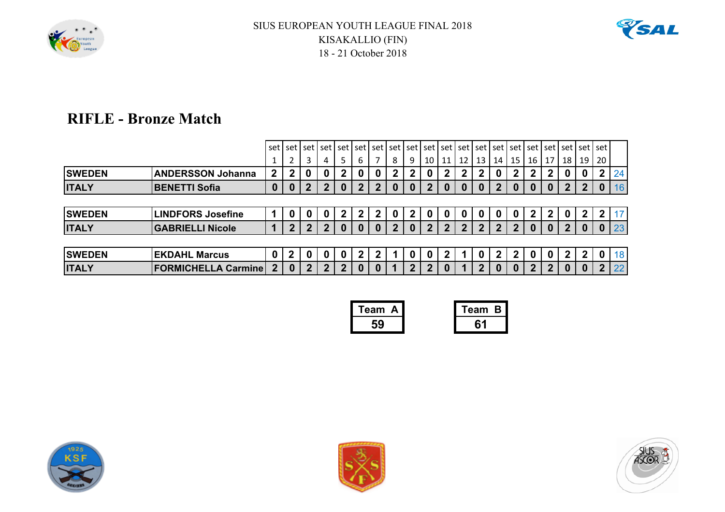



### **RIFLE - Bronze Match**

|               |                            |                | set I set I  |                |              |                |              |   |          | l set l set l set l set l set l set l set l set l set l set l set l set l set l set l set l set l set l set l |              |              |              |                |                 |    |              |              |             |             |              |                 |
|---------------|----------------------------|----------------|--------------|----------------|--------------|----------------|--------------|---|----------|---------------------------------------------------------------------------------------------------------------|--------------|--------------|--------------|----------------|-----------------|----|--------------|--------------|-------------|-------------|--------------|-----------------|
|               |                            |                | 2            | 3              | 4            | 5.             | 6            | 7 | 8        | 9                                                                                                             | 10           | 11           |              | $12$   13      | 14 <sup>1</sup> | 15 | 16   17      |              | 18   19     |             | <b>20</b>    |                 |
| <b>SWEDEN</b> | <b>ANDERSSON Johanna</b>   | 2              | 2            | 0              |              | $2^{\circ}$    | 0            | 0 | 2        | $\mathbf{2}$                                                                                                  | 0            | $\mathbf{2}$ | $\mathbf{2}$ | $\mathbf{2}$   | 0               | 2  |              | $\mathbf{2}$ |             | 0           |              | 24              |
| <b>ITALY</b>  | <b>BENETTI Sofia</b>       | 0              | $\bf{0}$     | 2              | 2            | 0              | $\mathbf{c}$ | 2 | $\bf{0}$ | 0                                                                                                             | 2            | 0            | 0            | 0              |                 | 0  |              | 0            |             |             |              | 16 <sup>°</sup> |
|               |                            |                |              |                |              |                |              |   |          |                                                                                                               |              |              |              |                |                 |    |              |              |             |             |              |                 |
| <b>SWEDEN</b> | <b>LINDFORS Josefine</b>   |                | 0            | 0              | 0            | $2^{\circ}$    | 2            | 2 | 0        | 2 <sup>1</sup>                                                                                                | 0            | 0            | 0            | 0              | 0               |    |              | $\mathbf{2}$ | 0           | $\mathbf 2$ |              | 17              |
| <b>ITALY</b>  | <b>GABRIELLI Nicole</b>    |                | $\mathbf{2}$ | $\mathbf{p}$   | 2            | 0              |              |   |          |                                                                                                               | 2            | 2            | 2            | $\mathbf{2}$   | 2               |    | 0            | O            |             | U           |              | 23              |
|               |                            |                |              |                |              |                |              |   |          |                                                                                                               |              |              |              |                |                 |    |              |              |             |             |              |                 |
| <b>SWEDEN</b> | <b>EKDAHL Marcus</b>       |                | 2            | 0              |              | 0              | 2            |   |          | 0                                                                                                             | 0            | 2            |              | 0              | 2               |    |              | 0            | $\mathbf 2$ | 2           |              | 18              |
| <b>ITALY</b>  | <b>FORMICHELLA Carmine</b> | 2 <sup>1</sup> | $\bf{0}$     | $\overline{2}$ | $\mathbf{2}$ | 2 <sup>1</sup> | 0            |   |          | 2 <sup>1</sup>                                                                                                | $\mathbf{P}$ |              |              | $\overline{2}$ | 0               |    | $\mathbf{P}$ | $\mathbf{2}$ | 0           |             | $\mathbf{p}$ | 22 <sub>1</sub> |

| Team A | Team B |
|--------|--------|
|        |        |





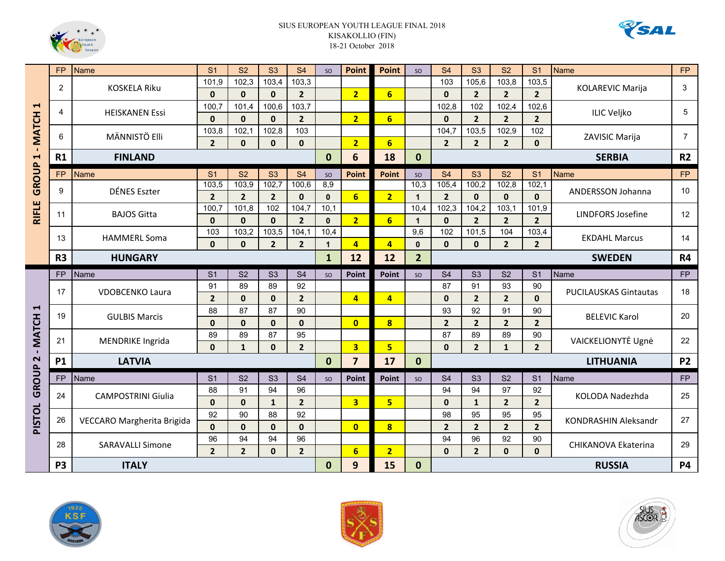



|                                       | <b>FP</b>      | <b>Name</b>                | S <sub>1</sub>      | S <sub>2</sub>        | S3                    | S <sub>4</sub>          | SO                   | <b>Point</b>            | Point                   | SO                  | S <sub>4</sub>      | S <sub>3</sub>          | S <sub>2</sub>        | S <sub>1</sub>          | <b>Name</b>                  | <b>FP</b>      |
|---------------------------------------|----------------|----------------------------|---------------------|-----------------------|-----------------------|-------------------------|----------------------|-------------------------|-------------------------|---------------------|---------------------|-------------------------|-----------------------|-------------------------|------------------------------|----------------|
|                                       | $\overline{2}$ | <b>KOSKELA Riku</b>        | 101,9               | 102,3                 | 103,4                 | 103,3                   |                      |                         |                         |                     | 103                 | 105,6                   | 103,8                 | 103,5                   | <b>KOLAREVIC Marija</b>      | 3              |
|                                       |                |                            | $\mathbf{0}$        | $\mathbf{0}$          | $\mathbf{0}$          | $2^{1}$                 |                      | $\overline{2}$          | $6 \overline{6}$        |                     | $\mathbf 0$         | $\overline{2}$          | $\overline{2}$        | 2 <sup>1</sup>          |                              |                |
| $\blacktriangleright$                 | 4              | <b>HEISKANEN Essi</b>      | 100,7               | 101.4                 | 100,6                 | 103,7                   |                      |                         |                         |                     | 102,8               | 102                     | 102,4                 | 102,6                   | <b>ILIC Veljko</b>           | 5              |
|                                       |                |                            | $\mathbf{0}$        | $\mathbf{0}$          | $\mathbf{0}$          | $\overline{2}$          |                      | $\overline{2}$          | $6 \overline{6}$        |                     | $\mathbf{0}$        | 2 <sup>1</sup>          | $\overline{2}$        | 2 <sup>1</sup>          |                              |                |
| <b>MATCH</b>                          | 6              | MÄNNISTÖ Elli              | 103,8               | 102,1                 | 102,8                 | 103                     |                      |                         |                         |                     | 104,7               | 103,5                   | 102,9                 | 102                     | ZAVISIC Marija               | $\overline{7}$ |
| $\mathbf{r}$<br>$\blacksquare$        |                |                            | $\overline{2}$      | $\mathbf{0}$          | $\mathbf{0}$          | $\mathbf{0}$            |                      | $\overline{2}$          | $6\overline{6}$         |                     | $\overline{2}$      | $\overline{2}$          | $\overline{2}$        | $\Omega$                | <b>SERBIA</b>                |                |
|                                       | R1             | <b>FINLAND</b>             |                     |                       |                       |                         | $\bf{0}$             | 6                       | 18                      | $\mathbf{0}$        |                     |                         |                       |                         |                              | R <sub>2</sub> |
| GROUP                                 | <b>FP</b>      | Name                       | S <sub>1</sub>      | S <sub>2</sub>        | S <sub>3</sub>        | <b>S4</b>               | SO                   | <b>Point</b>            | Point                   | SO                  | S <sub>4</sub>      | S <sub>3</sub>          | S <sub>2</sub>        | S <sub>1</sub>          | <b>Name</b>                  | <b>FP</b>      |
|                                       | 9              | DÉNES Eszter               | 103,5               | 103,9                 | 102,7                 | 100,6                   | 8,9                  |                         |                         | 10,3                | 105,4               | 100,2                   | 102,8                 | 102,1                   | ANDERSSON Johanna            | 10             |
|                                       |                |                            | $\overline{2}$      | $\overline{2}$        | $\overline{2}$        | $\mathbf{0}$            | $\mathbf{0}$         | $6\overline{}$          | $\overline{2}$          | $\mathbf{1}$        | $\overline{2}$      | $\mathbf{0}$            | $\mathbf 0$           | $\mathbf{0}$            |                              |                |
| <b>RIFLE</b>                          | 11             | <b>BAJOS Gitta</b>         | 100,7               | 101,8                 | 102                   | 104,7                   | 10,1                 |                         |                         | 10,4                | 102,3               | 104,2                   | 103,1                 | 101,9                   | <b>LINDFORS Josefine</b>     | 12             |
|                                       |                |                            | $\mathbf{0}$<br>103 | $\mathbf{0}$<br>103,2 | $\mathbf{0}$<br>103,5 | $\overline{2}$<br>104,1 | $\mathbf{0}$<br>10,4 | $\overline{2}$          | $6 \overline{6}$        | $\mathbf{1}$<br>9,6 | $\mathbf{0}$<br>102 | $\overline{2}$<br>101,5 | $\overline{2}$<br>104 | 2 <sup>1</sup><br>103,4 |                              |                |
|                                       | 13             | <b>HAMMERL Soma</b>        | $\mathbf{0}$        | $\mathbf{0}$          | $\overline{2}$        | $\overline{2}$          | $\mathbf{1}$         | $\overline{4}$          | $\overline{4}$          | $\bf{0}$            | $\mathbf{0}$        | $\mathbf{0}$            | $\overline{2}$        | 2 <sup>1</sup>          | <b>EKDAHL Marcus</b>         | 14             |
|                                       | R <sub>3</sub> | <b>HUNGARY</b>             |                     |                       |                       |                         | $\mathbf{1}$         | 12                      | 12                      | $\overline{2}$      |                     |                         |                       |                         | <b>SWEDEN</b>                | R4             |
|                                       |                |                            |                     |                       |                       |                         |                      |                         |                         |                     |                     |                         |                       |                         |                              |                |
|                                       |                |                            |                     |                       |                       |                         |                      |                         |                         |                     |                     |                         |                       |                         |                              |                |
|                                       | <b>FP</b>      | Name                       | S <sub>1</sub>      | S <sub>2</sub>        | S <sub>3</sub>        | S <sub>4</sub>          | <b>SO</b>            | <b>Point</b>            | Point                   | SO                  | S <sub>4</sub>      | S3                      | S <sub>2</sub>        | S <sub>1</sub>          | Name                         | <b>FP</b>      |
|                                       | 17             | <b>VDOBCENKO Laura</b>     | 91                  | 89<br>$\mathbf{0}$    | 89<br>$\mathbf{0}$    | 92                      |                      |                         |                         |                     | 87<br>$\mathbf{0}$  | 91                      | 93                    | 90<br>$\Omega$          | <b>PUCILAUSKAS Gintautas</b> | 18             |
| F                                     |                |                            | $\overline{2}$      | 87                    | 87                    | $\overline{2}$          |                      | $\overline{4}$          | $\overline{4}$          |                     | 93                  | $\overline{2}$          | $\overline{2}$<br>91  |                         |                              |                |
|                                       | 19             | <b>GULBIS Marcis</b>       | 88<br>$\mathbf{0}$  | $\mathbf{0}$          | $\mathbf{0}$          | 90<br>$\mathbf 0$       |                      | $\overline{0}$          | $\overline{\mathbf{8}}$ |                     | $\overline{2}$      | 92<br>$\overline{2}$    | $\overline{2}$        | 90<br>2 <sup>1</sup>    | <b>BELEVIC Karol</b>         | 20             |
|                                       |                |                            | 89                  | 89                    | 87                    | 95                      |                      |                         |                         |                     | 87                  | 89                      | 89                    | 90                      |                              |                |
| <b>MATCH</b>                          | 21             | <b>MENDRIKE Ingrida</b>    | $\mathbf{0}$        | $\mathbf{1}$          | $\mathbf{0}$          | $\overline{2}$          |                      | $\overline{\mathbf{3}}$ | 5 <sup>1</sup>          |                     | $\mathbf{0}$        | 2 <sup>2</sup>          | $\mathbf{1}$          | 2 <sup>1</sup>          | VAICKELIONYTĖ Ugnė           | 22             |
| $\mathbf{I}$<br>$\mathbf{\mathsf{N}}$ | <b>P1</b>      | <b>LATVIA</b>              |                     |                       |                       |                         | $\mathbf{0}$         | $\overline{7}$          | 17                      | $\mathbf{0}$        |                     |                         |                       |                         | <b>LITHUANIA</b>             | <b>P2</b>      |
|                                       | <b>FP</b>      | Name                       | S <sub>1</sub>      | S <sub>2</sub>        | S <sub>3</sub>        | S <sub>4</sub>          | SO                   | <b>Point</b>            | Point                   | SO                  | S <sub>4</sub>      | S <sub>3</sub>          | S <sub>2</sub>        | S <sub>1</sub>          | Name                         | <b>FP</b>      |
|                                       |                |                            | 88                  | 91                    | 94                    | 96                      |                      |                         |                         |                     | 94                  | 94                      | 97                    | 92                      |                              |                |
| GROUP                                 | 24             | <b>CAMPOSTRINI Giulia</b>  | $\mathbf{0}$        | $\mathbf{0}$          | $\mathbf{1}$          | $\overline{2}$          |                      | $\overline{\mathbf{3}}$ | 5 <sub>5</sub>          |                     | $\mathbf{0}$        | $\mathbf{1}$            | $\overline{2}$        | 2 <sup>1</sup>          | KOLODA Nadezhda              | 25             |
|                                       |                |                            | 92                  | 90                    | 88                    | 92                      |                      |                         |                         |                     | 98                  | 95                      | 95                    | 95                      |                              |                |
|                                       | 26             | VECCARO Margherita Brigida | $\mathbf{0}$        | $\mathbf{0}$          | $\mathbf{0}$          | $\mathbf{0}$            |                      | $\overline{0}$          | $\bf{8}$                |                     | $\overline{2}$      | 2 <sup>2</sup>          | $\overline{2}$        | 2 <sup>1</sup>          | KONDRASHIN Aleksandr         | 27             |
| <b>PISTOL</b>                         |                |                            | 96                  | 94                    | 94                    | 96                      |                      |                         |                         |                     | 94                  | 96                      | 92                    | 90                      |                              |                |
|                                       | 28             | <b>SARAVALLI Simone</b>    | $\overline{2}$      | $\overline{2}$        | $\mathbf{0}$          | $\overline{2}$          |                      | $6\phantom{1}$          | 2 <sub>2</sub>          |                     | $\mathbf{0}$        | 2 <sup>2</sup>          | $\mathbf{0}$          | $\mathbf{0}$            | <b>CHIKANOVA Ekaterina</b>   | 29             |





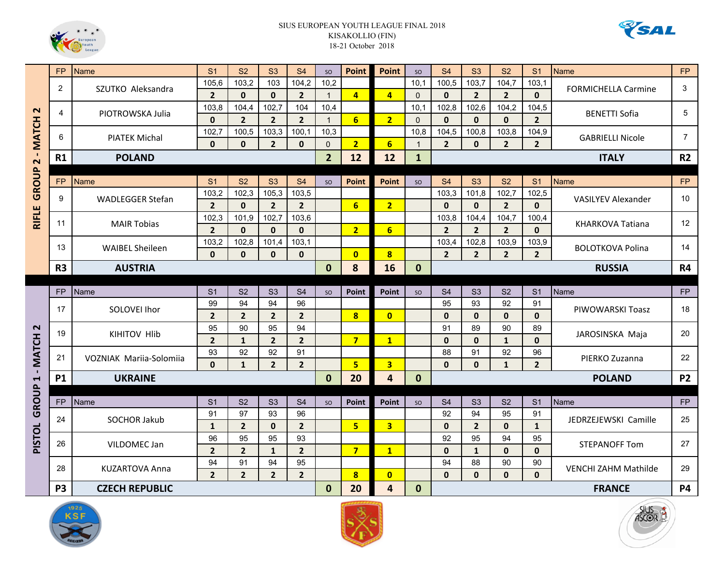



|                      | <b>FP</b>      | <b>Name</b>             | S <sub>1</sub> | <b>S2</b>      | S3             | <b>S4</b>      | SO             | <b>Point</b>            | Point                   | <b>SO</b>    | <b>S4</b>      | S <sub>3</sub> | <b>S2</b>      | S <sub>1</sub> | <b>Name</b>                 | <b>FP</b>      |
|----------------------|----------------|-------------------------|----------------|----------------|----------------|----------------|----------------|-------------------------|-------------------------|--------------|----------------|----------------|----------------|----------------|-----------------------------|----------------|
|                      | 2              |                         | 105,6          | 103,2          | 103            | 104,2          | 10,2           |                         |                         | 10,1         | 100,5          | 103,7          | 104,7          | 103,1          |                             | 3              |
|                      |                | SZUTKO Aleksandra       | $\overline{2}$ | $\mathbf{0}$   | $\mathbf{0}$   | $\overline{2}$ | $\mathbf{1}$   | 4                       | $\overline{4}$          | $\Omega$     | $\mathbf{0}$   | $\overline{2}$ | $\overline{2}$ | $\mathbf{0}$   | <b>FORMICHELLA Carmine</b>  |                |
| $\mathbf{\Omega}$    | 4              |                         | 103,8          | 104,4          | 102,7          | 104            | 10,4           |                         |                         | 10,1         | 102,8          | 102,6          | 104,2          | 104,5          |                             | 5              |
|                      |                | PIOTROWSKA Julia        | $\mathbf 0$    | $\overline{2}$ | $\overline{2}$ | $\overline{2}$ | $\mathbf{1}$   | 6                       | 2 <sub>2</sub>          | $\Omega$     | $\mathbf{0}$   | $\mathbf{0}$   | $\mathbf{0}$   | $2^{\circ}$    | <b>BENETTI Sofia</b>        |                |
|                      | 6              | <b>PIATEK Michal</b>    | 102,7          | 100,5          | 103,3          | 100,1          | 10,3           |                         |                         | 10.8         | 104,5          | 100,8          | 103,8          | 104,9          |                             | $\overline{7}$ |
| - MATCH              |                |                         | $\mathbf{0}$   | $\mathbf{0}$   | $\overline{2}$ | $\mathbf{0}$   | $\Omega$       | $\overline{2}$          | $6 \overline{6}$        | $\mathbf{1}$ | $\overline{2}$ | $\mathbf{0}$   | $\overline{2}$ | $2^{\circ}$    | <b>GABRIELLI Nicole</b>     |                |
| $\mathbf{\Omega}$    | R1             | <b>POLAND</b>           |                |                |                |                | $\overline{2}$ | 12                      | 12                      | $\mathbf{1}$ |                |                |                |                | <b>ITALY</b>                | R <sub>2</sub> |
|                      |                |                         |                |                |                |                |                |                         |                         |              |                |                |                |                |                             |                |
| GROUP                | <b>FP</b>      | <b>Name</b>             | S <sub>1</sub> | S <sub>2</sub> | S3             | S <sub>4</sub> | <b>SO</b>      | <b>Point</b>            | <b>Point</b>            | <b>SO</b>    | S <sub>4</sub> | S3             | S <sub>2</sub> | S <sub>1</sub> | <b>Name</b>                 | <b>FP</b>      |
|                      | 9              | <b>WADLEGGER Stefan</b> | 103,2          | 102,3          | 105,3          | 103,5          |                |                         |                         |              | 103,3          | 101,8          | 102,7          | 102,5          | <b>VASILYEV Alexander</b>   | 10             |
|                      |                |                         | $\overline{2}$ | $\mathbf{0}$   | $\overline{2}$ | $\overline{2}$ |                | 6                       | 2 <sup>1</sup>          |              | $\mathbf{0}$   | $\mathbf{0}$   | $\overline{2}$ | $\Omega$       |                             |                |
| <b>RIFLE</b>         | 11             | <b>MAIR Tobias</b>      | 102,3          | 101,9          | 102,7          | 103,6          |                |                         |                         |              | 103,8          | 104,4          | 104,7          | 100,4          | <b>KHARKOVA Tatiana</b>     | 12             |
|                      |                |                         | $\overline{2}$ | $\mathbf{0}$   | $\mathbf{0}$   | $\mathbf{0}$   |                | $\overline{2}$          | 6 <sup>1</sup>          |              | $\overline{2}$ | $\overline{2}$ | $\overline{2}$ | $\mathbf{0}$   |                             |                |
|                      | 13             | <b>WAIBEL Sheileen</b>  | 103,2          | 102,8          | 101,4          | 103,1          |                |                         |                         |              | 103,4          | 102,8          | 103,9          | 103,9          | <b>BOLOTKOVA Polina</b>     | 14             |
|                      |                |                         | $\mathbf{0}$   | $\mathbf{0}$   | $\mathbf{0}$   | $\mathbf{0}$   |                | $\overline{\mathbf{0}}$ | $\overline{\mathbf{8}}$ |              | $\overline{2}$ | $\overline{2}$ | $\overline{2}$ | $\overline{2}$ |                             |                |
|                      | R <sub>3</sub> | <b>AUSTRIA</b>          |                |                |                |                | $\mathbf{0}$   | 8                       | 16                      | $\mathbf{0}$ |                |                |                |                | <b>RUSSIA</b>               | R4             |
|                      |                |                         |                |                |                |                |                |                         |                         |              |                |                |                |                |                             |                |
|                      | <b>FP</b>      | Name                    | S <sub>1</sub> | S <sub>2</sub> | S <sub>3</sub> | S <sub>4</sub> | SO             | Point                   | <b>Point</b>            | <b>SO</b>    | S <sub>4</sub> | S <sub>3</sub> | S <sub>2</sub> | S <sub>1</sub> | Name                        | <b>FP</b>      |
|                      | 17             | SOLOVEI Ihor            | 99             | 94             | 94             | 96             |                |                         |                         |              | 95             | 93             | 92             | 91             | PIWOWARSKI Toasz            | 18             |
|                      |                |                         | $\overline{2}$ | $\overline{2}$ | $\overline{2}$ | $\overline{2}$ |                | $\bf{8}$                | $\mathbf{0}$            |              | $\mathbf{0}$   | $\mathbf{0}$   | $\mathbf 0$    | $\mathbf{0}$   |                             |                |
| $\mathbf{\Omega}$    | 19             | <b>KIHITOV HIIb</b>     | 95             | 90             | 95             | 94             |                |                         |                         |              | 91             | 89             | 90             | 89             | JAROSINSKA Maja             | 20             |
| <b>MATCH</b>         |                |                         | $\overline{2}$ | $\mathbf{1}$   | $\overline{2}$ | $\overline{2}$ |                | $\overline{7}$          | $\mathbf{1}$            |              | $\mathbf{0}$   | $\mathbf{0}$   | $\mathbf{1}$   | $\mathbf{0}$   |                             |                |
|                      | 21             | VOZNIAK Marija-Solomija | 93             | 92             | 92             | 91             |                |                         |                         |              | 88             | 91             | 92             | 96             | PIERKO Zuzanna              | 22             |
| $\mathbf{I}$         |                |                         | $\mathbf{0}$   | $\mathbf{1}$   | $\overline{2}$ | $\overline{2}$ |                | 5                       | $\overline{\mathbf{3}}$ |              | $\mathbf{0}$   | $\mathbf{0}$   | $\mathbf{1}$   | 2 <sup>1</sup> |                             |                |
| $\blacktriangleleft$ | <b>P1</b>      | <b>UKRAINE</b>          |                |                |                |                | $\mathbf{0}$   | 20                      | $\overline{4}$          | $\mathbf{0}$ |                |                |                |                | <b>POLAND</b>               | <b>P2</b>      |
| GROUP                |                |                         |                |                |                |                |                |                         |                         |              |                |                |                |                |                             |                |
|                      | <b>FP</b>      | Name                    | S <sub>1</sub> | S <sub>2</sub> | S <sub>3</sub> | S <sub>4</sub> | <b>SO</b>      | Point                   | Point                   | <b>SO</b>    | S <sub>4</sub> | S <sub>3</sub> | S <sub>2</sub> | S <sub>1</sub> | Name                        | <b>FP</b>      |
|                      | 24             | SOCHOR Jakub            | 91             | 97             | 93             | 96             |                |                         |                         |              | 92             | 94             | 95             | 91             | JEDRZEJEWSKI Camille        | 25             |
| PISTOL               |                |                         | $\mathbf{1}$   | $\overline{2}$ | $\mathbf 0$    | $\overline{2}$ |                | $\overline{\mathbf{5}}$ | $\overline{3}$          |              | $\mathbf{0}$   | $\overline{2}$ | $\mathbf{0}$   | $\mathbf{1}$   |                             |                |
|                      | 26             | VILDOMEC Jan            | 96             | 95             | 95             | 93             |                |                         |                         |              | 92             | 95             | 94             | 95             | <b>STEPANOFF Tom</b>        | 27             |
|                      |                |                         | $\overline{2}$ | $\overline{2}$ | $\mathbf{1}$   | $\overline{2}$ |                | $\overline{7}$          | $\mathbf{1}$            |              | $\mathbf{0}$   | $\mathbf{1}$   | $\mathbf{0}$   | $\mathbf{0}$   |                             |                |
|                      | 28             | KUZARTOVA Anna          | 94             | 91             | 94             | 95             |                |                         |                         |              | 94             | 88             | 90             | 90             | <b>VENCHI ZAHM Mathilde</b> | 29             |
|                      |                |                         | $\overline{2}$ | $2^{\circ}$    | $\overline{2}$ | $\overline{2}$ |                | $\bf{8}$                | $\overline{0}$          |              | $\mathbf{0}$   | $\mathbf{0}$   | $\mathbf{0}$   | $\mathbf{0}$   |                             |                |
|                      | <b>P3</b>      | <b>CZECH REPUBLIC</b>   |                |                |                |                | $\bf{0}$       | 20                      | $\overline{\mathbf{4}}$ | $\bf{0}$     |                |                |                |                | <b>FRANCE</b>               | <b>P4</b>      |





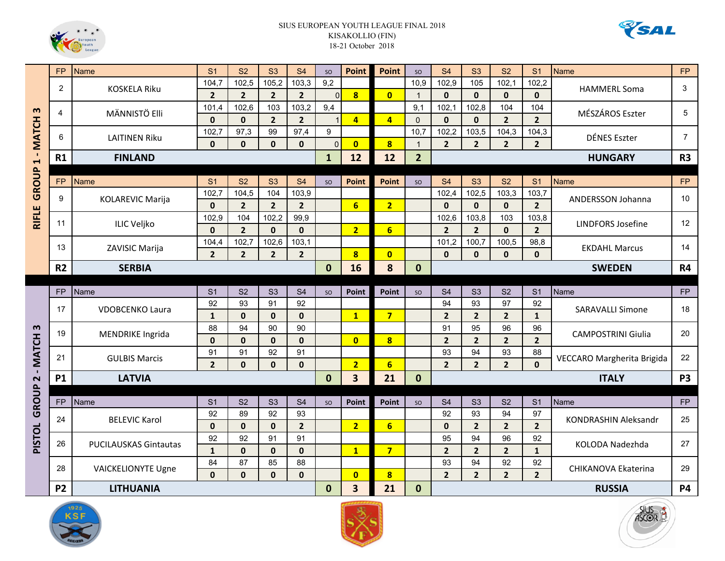



|                       | FP             | <b>Name</b>                  | S <sub>1</sub> | S <sub>2</sub> | <b>S3</b>      | S <sub>4</sub> | SO           | <b>Point</b>            | Point                   | SO             | <b>S4</b>      | S <sub>3</sub> | <b>S2</b>      | S <sub>1</sub> | <b>Name</b>                 | <b>FP</b>      |
|-----------------------|----------------|------------------------------|----------------|----------------|----------------|----------------|--------------|-------------------------|-------------------------|----------------|----------------|----------------|----------------|----------------|-----------------------------|----------------|
|                       | 2              | <b>KOSKELA Riku</b>          | 104,7          | 102,5          | 105,2          | 103,3          | 9,2          |                         |                         | 10,9           | 102,9          | 105            | 102,1          | 102,2          | <b>HAMMERL Soma</b>         | 3              |
|                       |                |                              | $\overline{2}$ | $\overline{2}$ | $\overline{2}$ | $\mathbf{2}$   | $\mathbf{0}$ | $\overline{\mathbf{8}}$ | $\overline{0}$          | $\mathbf{1}$   | $\mathbf{0}$   | $\mathbf{0}$   | $\mathbf{0}$   | $\mathbf{0}$   |                             |                |
| $\boldsymbol{\omega}$ | 4              | MÄNNISTÖ Elli                | 101,4          | 102,6          | 103            | 103,2          | 9,4          |                         |                         | 9,1            | 102,1          | 102,8          | 104            | 104            | MÉSZÁROS Eszter             | 5              |
|                       |                |                              | $\mathbf 0$    | $\mathbf 0$    | $\overline{2}$ | $\overline{2}$ |              | $\overline{a}$          | $\overline{4}$          | $\Omega$       | $\mathbf{0}$   | $\mathbf{0}$   | $\overline{2}$ | $2^{\circ}$    |                             |                |
|                       | 6              | <b>LAITINEN Riku</b>         | 102,7          | 97,3           | 99             | 97,4           | 9            |                         |                         | 10,7           | 102,2          | 103,5          | 104,3          | 104,3          | <b>DÉNES Eszter</b>         | $\overline{7}$ |
| - MATCH               |                |                              | $\mathbf{0}$   | $\mathbf{0}$   | $\mathbf{0}$   | $\mathbf{0}$   | $\Omega$     | $\overline{\mathbf{0}}$ | $\overline{\mathbf{8}}$ | $\overline{1}$ | $\overline{2}$ | $\overline{2}$ | $\overline{2}$ | $2^{\circ}$    |                             |                |
| $\blacktriangleleft$  | R1             | <b>FINLAND</b>               |                |                |                |                | $\mathbf{1}$ | 12                      | 12                      | $\overline{2}$ |                |                |                |                | <b>HUNGARY</b>              | R <sub>3</sub> |
|                       |                |                              |                |                |                |                |              |                         |                         |                |                |                |                |                |                             |                |
| GROUP                 | <b>FP</b>      | <b>Name</b>                  | S <sub>1</sub> | S <sub>2</sub> | S <sub>3</sub> | S <sub>4</sub> | <b>SO</b>    | <b>Point</b>            | <b>Point</b>            | <b>SO</b>      | S <sub>4</sub> | S3             | S <sub>2</sub> | S <sub>1</sub> | <b>Name</b>                 | <b>FP</b>      |
|                       | 9              | <b>KOLAREVIC Marija</b>      | 102,7          | 104,5          | 104            | 103,9          |              |                         |                         |                | 102,4          | 102,5          | 103,3          | 103,7          | ANDERSSON Johanna           | 10             |
|                       |                |                              | $\mathbf{0}$   | $\overline{2}$ | $\overline{2}$ | $\overline{2}$ |              | 6                       | $\overline{2}$          |                | $\mathbf{0}$   | $\mathbf{0}$   | $\mathbf{0}$   | $2^{\circ}$    |                             |                |
| <b>RIFLE</b>          | 11             | <b>ILIC Veljko</b>           | 102,9          | 104            | 102,2          | 99,9           |              |                         |                         |                | 102,6          | 103,8          | 103            | 103,8          | <b>LINDFORS Josefine</b>    | 12             |
|                       |                |                              | $\mathbf{0}$   | $\overline{2}$ | $\mathbf{0}$   | $\mathbf{0}$   |              | $\overline{2}$          | 6                       |                | $\overline{2}$ | 2 <sup>2</sup> | $\mathbf{0}$   | $2^{\circ}$    |                             |                |
|                       | 13             | ZAVISIC Marija               | 104,4          | 102,7          | 102,6          | 103,1          |              |                         |                         |                | 101,2          | 100,7          | 100,5          | 98,8           | <b>EKDAHL Marcus</b>        | 14             |
|                       |                |                              | $\overline{2}$ | $\overline{2}$ | $\overline{2}$ | $\overline{2}$ |              | 8                       | $\overline{\mathbf{0}}$ |                | $\mathbf{0}$   | $\mathbf{0}$   | $\mathbf{0}$   | $\mathbf{0}$   |                             |                |
|                       | R <sub>2</sub> | <b>SERBIA</b>                |                |                |                |                | $\mathbf{0}$ | 16                      | 8                       | $\mathbf{0}$   |                |                |                | <b>SWEDEN</b>  | <b>R4</b>                   |                |
|                       |                |                              |                |                |                |                |              |                         |                         |                |                |                |                |                |                             |                |
|                       | <b>FP</b>      | Name                         | S <sub>1</sub> | S <sub>2</sub> | S <sub>3</sub> | S <sub>4</sub> | SO           | Point                   | Point                   | SO             | S <sub>4</sub> | S <sub>3</sub> | S <sub>2</sub> | S <sub>1</sub> | Name                        | FP             |
|                       | 17             | <b>VDOBCENKO Laura</b>       | 92             | 93             | 91             | 92             |              |                         |                         |                | 94             | 93             | 97             | 92             | <b>SARAVALLI Simone</b>     | 18             |
|                       |                |                              | $\mathbf{1}$   | $\mathbf{0}$   | $\mathbf{0}$   | $\mathbf{0}$   |              | $\overline{\mathbf{1}}$ | $\overline{7}$          |                | $\overline{2}$ | $\overline{2}$ | $\overline{2}$ | $\mathbf{1}$   |                             |                |
| m                     | 19             | <b>MENDRIKE Ingrida</b>      | 88             | 94             | 90             | 90             |              |                         |                         |                | 91             | 95             | 96             | 96             | <b>CAMPOSTRINI Giulia</b>   | 20             |
| <b>MATCH</b>          |                |                              | $\mathbf 0$    | $\mathbf 0$    | $\mathbf 0$    | $\mathbf 0$    |              | $\overline{\mathbf{0}}$ | $\overline{\mathbf{8}}$ |                | $\overline{2}$ | $\overline{2}$ | $\overline{2}$ | $2^{1}$        |                             |                |
|                       | 21             | <b>GULBIS Marcis</b>         | 91             | 91             | 92             | 91             |              |                         |                         |                | 93             | 94             | 93             | 88             | VECCARO Margherita Brigida  | 22             |
| $\mathbf{I}$          |                |                              | $\overline{2}$ | $\mathbf{0}$   | $\mathbf{0}$   | $\mathbf{0}$   |              | $\overline{2}$          | $6\overline{6}$         |                | $\overline{2}$ | $\overline{2}$ | $\overline{2}$ | $\mathbf{0}$   |                             |                |
| $\sim$                | <b>P1</b>      | <b>LATVIA</b>                |                |                |                |                | $\bf{0}$     | 3                       | 21                      | $\mathbf{0}$   |                |                |                |                | <b>ITALY</b>                | <b>P3</b>      |
|                       |                |                              |                |                |                |                |              |                         |                         |                |                |                |                |                |                             |                |
| GROUP                 | <b>FP</b>      | Name                         | S <sub>1</sub> | S <sub>2</sub> | S <sub>3</sub> | S <sub>4</sub> | SO           | <b>Point</b>            | Point                   | SO             | S <sub>4</sub> | S <sub>3</sub> | S <sub>2</sub> | S <sub>1</sub> | Name                        | <b>FP</b>      |
|                       | 24             | <b>BELEVIC Karol</b>         | 92             | 89             | 92             | 93             |              |                         |                         |                | 92             | 93             | 94             | 97             | <b>KONDRASHIN Aleksandr</b> | 25             |
|                       |                |                              | $\mathbf 0$    | $\mathbf 0$    | $\mathbf{0}$   | $\overline{2}$ |              | $\overline{2}$          | $6\overline{6}$         |                | $\mathbf 0$    | $\overline{2}$ | $\overline{2}$ | 2 <sup>1</sup> |                             |                |
| <b>PISTOL</b>         | 26             | <b>PUCILAUSKAS Gintautas</b> | 92             | 92             | 91             | 91             |              |                         |                         |                | 95             | 94             | 96             | 92             | KOLODA Nadezhda             | 27             |
|                       |                |                              | $\mathbf{1}$   | $\mathbf{0}$   | $\mathbf{0}$   | $\mathbf{0}$   |              | $\mathbf{1}$            | $\overline{7}$          |                | $\overline{2}$ | $\overline{2}$ | $\overline{2}$ | $\mathbf{1}$   |                             |                |
|                       | 28             | <b>VAICKELIONYTE Ugne</b>    | 84             | 87             | 85             | 88             |              |                         |                         |                | 93             | 94             | 92             | 92             | <b>CHIKANOVA Ekaterina</b>  | 29             |
|                       |                |                              | $\mathbf 0$    | $\mathbf{0}$   | $\mathbf{0}$   | $\mathbf{0}$   |              | $\mathbf{0}$            | $\overline{\mathbf{8}}$ |                | $\overline{2}$ | $\overline{2}$ | $\overline{2}$ | $2^{\circ}$    |                             |                |
|                       | <b>P2</b>      | <b>LITHUANIA</b>             |                |                |                |                | $\mathbf{0}$ | $\overline{\mathbf{3}}$ | 21                      | $\bf{0}$       |                |                |                |                | <b>RUSSIA</b>               | <b>P4</b>      |





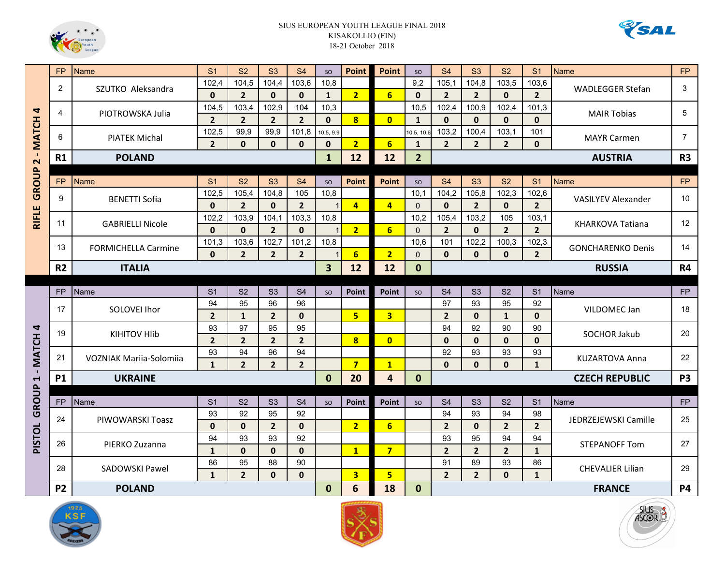



|                      | <b>FP</b>      | <b>Name</b>                    | S <sub>1</sub> | <b>S2</b>      | S3             | S <sub>4</sub> | <b>SO</b>               | <b>Point</b>            | <b>Point</b>            | <b>SO</b>      | S <sub>4</sub> | S3             | <b>S2</b>      | S <sub>1</sub> | <b>Name</b>                | <b>FP</b>         |
|----------------------|----------------|--------------------------------|----------------|----------------|----------------|----------------|-------------------------|-------------------------|-------------------------|----------------|----------------|----------------|----------------|----------------|----------------------------|-------------------|
|                      | $\overline{2}$ |                                | 102,4          | 104,5          | 104,4          | 103,6          | 10,8                    |                         |                         | 9,2            | 105,1          | 104,8          | 103,5          | 103,6          |                            | 3                 |
|                      |                | SZUTKO Aleksandra              | $\mathbf{0}$   | $\overline{2}$ | $\mathbf{0}$   | $\mathbf{0}$   | $\mathbf{1}$            | $\overline{2}$          | $6 \overline{6}$        | $\mathbf{0}$   | $\overline{2}$ | 2 <sup>1</sup> | $\mathbf{0}$   | 2 <sup>1</sup> | <b>WADLEGGER Stefan</b>    |                   |
| 4                    | 4              |                                | 104,5          | 103,4          | 102,9          | 104            | 10,3                    |                         |                         | 10.5           | 102,4          | 100,9          | 102,4          | 101,3          |                            | 5                 |
|                      |                | PIOTROWSKA Julia               | $\overline{2}$ | $\overline{2}$ | $\overline{2}$ | $\overline{2}$ | $\mathbf{0}$            | $\overline{\mathbf{8}}$ | $\overline{0}$          | $\mathbf{1}$   | $\mathbf{0}$   | $\mathbf{0}$   | $\mathbf{0}$   | $\mathbf{0}$   | <b>MAIR Tobias</b>         |                   |
|                      | 6              | <b>PIATEK Michal</b>           | 102,5          | 99.9           | 99,9           | 101,8          | 10.5, 9.9               |                         |                         | 10.5, 10.6     | 103,2          | 100,4          | 103,1          | 101            | <b>MAYR Carmen</b>         | $\overline{7}$    |
| - MATCH              |                |                                | $\overline{2}$ | $\mathbf{0}$   | $\mathbf{0}$   | $\mathbf{0}$   | $\mathbf{0}$            | $\overline{2}$          | $6\phantom{1}$          | $\mathbf{1}$   | $\overline{2}$ | 2 <sup>2</sup> | $\overline{2}$ | $\mathbf{0}$   |                            |                   |
| $\sim$               | R1             | <b>POLAND</b>                  |                |                |                |                | $\mathbf{1}$            | 12                      | 12                      | $\overline{2}$ |                |                |                |                | <b>AUSTRIA</b>             | R3                |
|                      |                |                                |                |                |                |                |                         |                         |                         |                |                |                |                |                |                            |                   |
| GROUP                | <b>FP</b>      | <b>Name</b>                    | S <sub>1</sub> | S <sub>2</sub> | <b>S3</b>      | S <sub>4</sub> | SO                      | <b>Point</b>            | <b>Point</b>            | SO             | S <sub>4</sub> | S3             | S <sub>2</sub> | S <sub>1</sub> | <b>Name</b>                | FP                |
|                      | 9              | <b>BENETTI Sofia</b>           | 102,5          | 105,4          | 104,8          | 105            | 10,8                    |                         |                         | 10,1           | 104,2          | 105,8          | 102,3          | 102,6          | <b>VASILYEV Alexander</b>  | 10 <sup>°</sup>   |
|                      |                |                                | $\mathbf{0}$   | $\overline{2}$ | $\mathbf{0}$   | $\overline{2}$ |                         | $\overline{4}$          | $\overline{4}$          | $\Omega$       | $\mathbf{0}$   | $\overline{2}$ | $\mathbf{0}$   | $\overline{2}$ |                            |                   |
| <b>RIFLE</b>         | 11             | <b>GABRIELLI Nicole</b>        | 102,2          | 103,9          | 104,1          | 103,3          | 10,8                    |                         |                         | 10,2           | 105,4          | 103,2          | 105            | 103,1          | <b>KHARKOVA Tatiana</b>    | $12 \overline{ }$ |
|                      |                |                                | $\mathbf{0}$   | $\mathbf{0}$   | $\overline{2}$ | $\mathbf{0}$   |                         | $\overline{2}$          | 6                       | $\Omega$       | $\overline{2}$ | $\mathbf{0}$   | $\overline{2}$ | $2^{\circ}$    |                            |                   |
|                      | 13             | <b>FORMICHELLA Carmine</b>     | 101,3          | 103,6          | 102,7          | 101,2          | 10,8                    |                         |                         | 10,6           | 101            | 102,2          | 100,3          | 102,3          | <b>GONCHARENKO Denis</b>   | 14                |
|                      |                |                                | $\mathbf{0}$   | $\overline{2}$ | $\overline{2}$ | $\overline{2}$ |                         | $6\phantom{1}$          | $\overline{2}$          | $\Omega$       | $\mathbf{0}$   | $\mathbf{0}$   | $\mathbf{0}$   | 2 <sup>1</sup> |                            |                   |
|                      | R <sub>2</sub> | <b>ITALIA</b>                  |                |                |                |                | $\overline{\mathbf{3}}$ | 12                      | 12                      | $\bf{0}$       |                |                |                |                | <b>RUSSIA</b>              | <b>R4</b>         |
|                      |                |                                |                |                |                |                |                         |                         |                         |                |                |                |                |                |                            |                   |
|                      | <b>FP</b>      | Name                           | S <sub>1</sub> | S <sub>2</sub> | S3             | S <sub>4</sub> | SO                      | <b>Point</b>            | <b>Point</b>            | <b>SO</b>      | S <sub>4</sub> | S3             | S <sub>2</sub> | S <sub>1</sub> | Name                       | FP                |
|                      | 17             | SOLOVEI Ihor                   | 94             | 95             | 96             | 96             |                         |                         |                         |                | 97             | 93             | 95             | 92             | VILDOMEC Jan               | 18                |
|                      |                |                                | $\overline{2}$ | $\mathbf{1}$   | $\overline{2}$ | $\mathbf{0}$   |                         | 5 <sup>1</sup>          | $\overline{3}$          |                | $\overline{2}$ | $\mathbf{0}$   | $\mathbf{1}$   | $\mathbf{0}$   |                            |                   |
| 4                    | 19             | <b>KIHITOV HIIb</b>            | 93             | 97             | 95             | 95             |                         |                         |                         |                | 94             | 92             | 90             | 90             | <b>SOCHOR Jakub</b>        | 20                |
| - MATCH              |                |                                | $\overline{2}$ | $\overline{2}$ | $\overline{2}$ | $\overline{2}$ |                         | $\bf{8}$                | $\mathbf{0}$            |                | $\mathbf{0}$   | $\mathbf 0$    | $\mathbf{0}$   | $\mathbf{0}$   |                            |                   |
|                      | 21             | <b>VOZNIAK Mariia-Solomiia</b> | 93             | 94             | 96             | 94             |                         |                         |                         |                | 92             | 93             | 93             | 93             | <b>KUZARTOVA Anna</b>      | 22                |
|                      |                |                                | $\mathbf{1}$   | $2^{\circ}$    | $\overline{2}$ | $\overline{2}$ |                         | $\overline{7}$          | $\overline{\mathbf{1}}$ |                | $\mathbf{0}$   | $\mathbf{0}$   | $\mathbf{0}$   | $\mathbf{1}$   |                            |                   |
| $\blacktriangleleft$ | <b>P1</b>      | <b>UKRAINE</b>                 |                |                |                |                | $\Omega$                | 20                      | 4                       | $\mathbf{0}$   |                |                |                |                | <b>CZECH REPUBLIC</b>      | <b>P3</b>         |
|                      |                |                                |                |                |                |                |                         |                         |                         |                |                |                |                |                |                            |                   |
| GROUP                | <b>FP</b>      | <b>Name</b>                    | S <sub>1</sub> | S <sub>2</sub> | S3             | S <sub>4</sub> | SO                      | <b>Point</b>            | Point                   | <b>SO</b>      | S <sub>4</sub> | S3             | S <sub>2</sub> | S <sub>1</sub> | Name                       | FP                |
|                      | 24             | PIWOWARSKI Toasz               | 93             | 92             | 95             | 92             |                         |                         |                         |                | 94             | 93             | 94             | 98             | JEDRZEJEWSKI Camille       | 25                |
|                      |                |                                | $\mathbf{0}$   | $\mathbf{0}$   | $\overline{2}$ | $\mathbf{0}$   |                         | $\overline{2}$          | 6                       |                | $\overline{2}$ | $\mathbf{0}$   | $\overline{2}$ | $\overline{2}$ |                            |                   |
| <b>PISTOL</b>        | 26             | PIERKO Zuzanna                 | 94             | 93             | 93             | 92             |                         |                         |                         |                | 93             | 95             | 94             | 94             | <b>STEPANOFF Tom</b>       | 27                |
|                      |                |                                | $\mathbf{1}$   | $\mathbf{0}$   | $\mathbf{0}$   | $\mathbf{0}$   |                         | $\mathbf{1}$            | $\overline{7}$          |                | $\overline{2}$ | $2^{\circ}$    | $\overline{2}$ | $\mathbf{1}$   |                            |                   |
|                      | 28             | <b>SADOWSKI Pawel</b>          | 86             | 95             | 88             | 90             |                         |                         |                         |                | 91             | 89             | 93             | 86             | <b>CHEVALIER Lilian</b>    | 29                |
|                      |                |                                | $\mathbf{1}$   | $2^{\circ}$    | $\mathbf{0}$   | $\mathbf{0}$   |                         | $\overline{\mathbf{3}}$ | 5                       |                | $\overline{2}$ | 2 <sup>1</sup> | $\mathbf{0}$   | $\mathbf{1}$   |                            |                   |
|                      | <b>P2</b>      | <b>POLAND</b>                  |                |                |                |                | $\bf{0}$                | 6                       | 18                      | $\bf{0}$       |                |                |                |                | <b>FRANCE</b><br><b>P4</b> |                   |





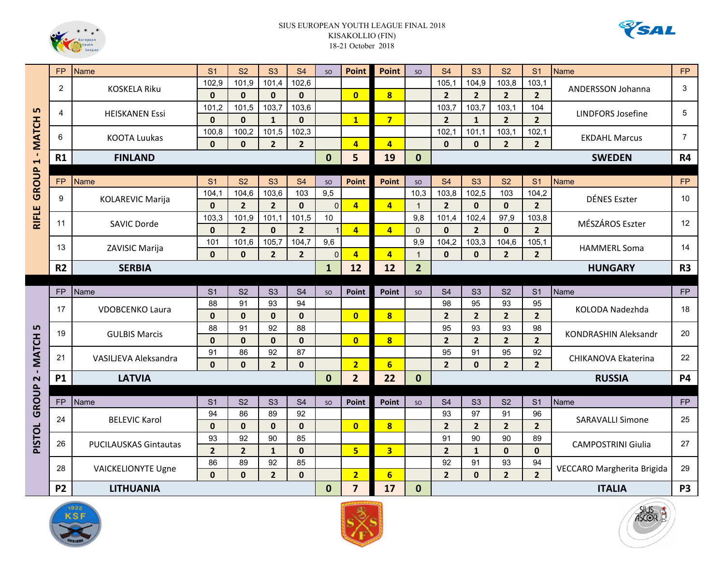



| <b>FP</b><br>2<br>5<br>$\overline{4}$<br>- MATCH<br>6<br>R1<br>$\blacktriangleleft$<br>GROUP<br><b>FP</b><br>9<br><b>RIFLE</b><br>11<br>13<br>R <sub>2</sub><br><b>FP</b><br>17<br>Ln<br>19<br>- MATCH<br>21<br><b>P1</b><br>$\overline{\mathbf{C}}$<br>GROUP<br>FP<br>24<br><b>PISTOL</b><br>26<br>28 |           | <b>Name</b>                                 | S <sub>1</sub> | S <sub>2</sub> | S3             | S <sub>4</sub> | SO          | <b>Point</b>            | <b>Point</b>            | <b>SO</b>      | <b>S4</b>      | S3             | S <sub>2</sub>          | S <sub>1</sub> | <b>Name</b>                 | <b>FP</b>      |
|--------------------------------------------------------------------------------------------------------------------------------------------------------------------------------------------------------------------------------------------------------------------------------------------------------|-----------|---------------------------------------------|----------------|----------------|----------------|----------------|-------------|-------------------------|-------------------------|----------------|----------------|----------------|-------------------------|----------------|-----------------------------|----------------|
|                                                                                                                                                                                                                                                                                                        |           | <b>KOSKELA Riku</b>                         | 102,9          | 101,9          | 101,4          | 102,6          |             |                         |                         |                | 105,1          | 104,9          | 103,8                   | 103,1          |                             | 3              |
|                                                                                                                                                                                                                                                                                                        |           |                                             | $\mathbf{0}$   | $\mathbf 0$    | $\mathbf{0}$   | $\mathbf{0}$   |             | $\overline{0}$          | $\overline{\mathbf{8}}$ |                | $\overline{2}$ | $\overline{2}$ | $\overline{2}$          | 2 <sup>1</sup> | ANDERSSON Johanna           |                |
|                                                                                                                                                                                                                                                                                                        |           | <b>HEISKANEN Essi</b>                       | 101,2          | 101,5          | 103,7          | 103,6          |             |                         |                         |                | 103,7          | 103,7          | 103,1                   | 104            | <b>LINDFORS Josefine</b>    | 5              |
|                                                                                                                                                                                                                                                                                                        |           |                                             | $\mathbf{0}$   | $\mathbf{0}$   | $\mathbf{1}$   | $\mathbf{0}$   |             | $\overline{\mathbf{1}}$ | $\overline{7}$          |                | $\overline{2}$ | $\mathbf{1}$   | $\overline{2}$          | 2 <sup>1</sup> |                             |                |
|                                                                                                                                                                                                                                                                                                        |           | <b>KOOTA Luukas</b>                         | 100,8          | 100,2          | 101,5          | 102,3          |             |                         |                         |                | 102,1          | 101,1          | 103,1                   | 102,1          |                             | $\overline{7}$ |
|                                                                                                                                                                                                                                                                                                        |           |                                             | $\mathbf 0$    | $\mathbf{0}$   | $\overline{2}$ | $\overline{2}$ |             | $\overline{a}$          | $\overline{4}$          |                | $\mathbf{0}$   | $\mathbf{0}$   | $\overline{2}$          | 2 <sup>1</sup> | <b>EKDAHL Marcus</b>        |                |
|                                                                                                                                                                                                                                                                                                        |           | <b>FINLAND</b>                              |                |                |                |                |             |                         | 19                      | $\mathbf{0}$   | <b>SWEDEN</b>  |                |                         |                |                             | <b>R4</b>      |
|                                                                                                                                                                                                                                                                                                        |           |                                             |                |                |                |                |             |                         |                         |                |                |                |                         |                |                             |                |
|                                                                                                                                                                                                                                                                                                        |           | <b>Name</b>                                 | S <sub>1</sub> | S <sub>2</sub> | S3             | <b>S4</b>      | SO          | Point                   | <b>Point</b>            | SO             | <b>S4</b>      | S3             | <b>S2</b>               | S <sub>1</sub> | Name                        | <b>FP</b>      |
|                                                                                                                                                                                                                                                                                                        |           | 104,1<br>104,6<br>103,6<br>KOLAREVIC Marija | 103            | 9,5            |                |                | 10,3        | 103,8                   | 102,5                   | 103            | 104,2          | DÉNES Eszter   | 10                      |                |                             |                |
|                                                                                                                                                                                                                                                                                                        |           |                                             | $\mathbf{0}$   | $\overline{2}$ | $\overline{2}$ | $\mathbf{0}$   | $\mathbf 0$ | $\overline{4}$          | $\overline{a}$          | $\overline{1}$ | $\overline{2}$ | $\mathbf 0$    | $\mathbf{0}$            | $\overline{2}$ |                             |                |
|                                                                                                                                                                                                                                                                                                        |           | <b>SAVIC Dorde</b>                          | 103,3          | 101,9          | 101,1          | 101,5          | 10          |                         |                         | 9,8            | 101,4          | 102,4          | 97,9                    | 103,8          | MÉSZÁROS Eszter             | 12             |
|                                                                                                                                                                                                                                                                                                        |           |                                             | $\mathbf{0}$   | $\overline{2}$ | $\mathbf{0}$   | $\overline{2}$ |             | $\overline{4}$          | $\overline{a}$          | $\Omega$       | $\bf{0}$       | $2^{\circ}$    | $\mathbf{0}$            | 2 <sup>1</sup> |                             |                |
|                                                                                                                                                                                                                                                                                                        |           | ZAVISIC Marija                              | 101            | 101,6          | 105,7          | 104,7          | 9,6         |                         |                         | 9,9            | 104,2          | 103,3          | 104,6                   | 105,1          | <b>HAMMERL Soma</b>         | 14             |
|                                                                                                                                                                                                                                                                                                        |           |                                             | $\mathbf{0}$   | $\mathbf{0}$   | $\overline{2}$ | $\overline{2}$ | $\Omega$    | $\overline{4}$          | $\overline{4}$          | $\mathbf{1}$   | $\mathbf{0}$   | $\mathbf{0}$   | $\overline{2}$          | 2 <sup>1</sup> |                             |                |
|                                                                                                                                                                                                                                                                                                        |           | <b>SERBIA</b>                               |                |                |                |                |             | 12                      | 12                      | $\overline{2}$ | <b>HUNGARY</b> |                |                         |                |                             | R <sub>3</sub> |
|                                                                                                                                                                                                                                                                                                        |           |                                             |                |                |                |                |             |                         |                         |                |                |                |                         |                |                             |                |
|                                                                                                                                                                                                                                                                                                        |           | Name                                        | S <sub>1</sub> | S <sub>2</sub> | S <sub>3</sub> | S <sub>4</sub> | SO          | <b>Point</b>            | Point                   | SO             | S <sub>4</sub> | S <sub>3</sub> | S <sub>2</sub>          | S <sub>1</sub> | Name                        | FP             |
|                                                                                                                                                                                                                                                                                                        |           | VDOBCENKO Laura                             | 88             | 91             | 93             | 94             |             |                         |                         |                | 98             | 95             | 93                      | 95             | KOLODA Nadezhda             | 18             |
|                                                                                                                                                                                                                                                                                                        |           |                                             | $\mathbf 0$    | $\mathbf{0}$   | $\mathbf{0}$   | $\mathbf{0}$   |             | $\overline{0}$          | $\overline{\mathbf{8}}$ |                | $\overline{2}$ | $\overline{2}$ | $\overline{2}$          | $\overline{2}$ |                             |                |
|                                                                                                                                                                                                                                                                                                        |           | <b>GULBIS Marcis</b>                        | 88             | 91             | 92             | 88             |             |                         |                         |                | 95             | 93             | 93                      | 98             | <b>KONDRASHIN Aleksandr</b> | 20             |
|                                                                                                                                                                                                                                                                                                        |           |                                             | $\mathbf 0$    | $\mathbf{0}$   | $\mathbf{0}$   | $\mathbf{0}$   |             | $\mathbf{0}$            | $\overline{\mathbf{8}}$ |                | $\overline{2}$ | $2^{1}$        | $\overline{2}$          | 2 <sup>1</sup> |                             |                |
|                                                                                                                                                                                                                                                                                                        |           | VASILJEVA Aleksandra                        | 91             | 86             | 92             | 87             |             |                         |                         |                | 95             | 91             | 95                      | 92             | CHIKANOVA Ekaterina         | 22             |
|                                                                                                                                                                                                                                                                                                        |           |                                             | $\mathbf{0}$   | $\mathbf{0}$   | $\overline{2}$ | $\mathbf{0}$   |             | $\overline{2}$          | $6\overline{6}$         |                | 2 <sup>2</sup> | $\mathbf{0}$   | $\overline{2}$          | $\overline{2}$ |                             |                |
|                                                                                                                                                                                                                                                                                                        |           | <b>LATVIA</b>                               |                |                |                |                |             | $\overline{2}$          | 22                      | $\mathbf{0}$   | <b>RUSSIA</b>  |                |                         |                |                             | <b>P4</b>      |
|                                                                                                                                                                                                                                                                                                        |           |                                             |                |                |                |                |             |                         |                         |                |                |                |                         |                |                             |                |
|                                                                                                                                                                                                                                                                                                        |           | Name                                        | S <sub>1</sub> | S <sub>2</sub> | S <sub>3</sub> | S <sub>4</sub> | SO          | Point                   | Point                   | SO             | S <sub>4</sub> | S <sub>3</sub> | S <sub>2</sub>          | S <sub>1</sub> | Name                        | <b>FP</b>      |
|                                                                                                                                                                                                                                                                                                        |           | <b>BELEVIC Karol</b>                        | 94             | 86             | 89             | 92             |             |                         |                         |                | 93             | 97             | 91                      | 96             | <b>SARAVALLI Simone</b>     | 25             |
|                                                                                                                                                                                                                                                                                                        |           |                                             | $\mathbf{0}$   | $\mathbf{0}$   | $\mathbf{0}$   | $\mathbf{0}$   |             | $\overline{0}$          | $\overline{\mathbf{8}}$ |                | $\overline{2}$ | $\overline{2}$ | $\overline{\mathbf{c}}$ | 2 <sup>1</sup> |                             |                |
|                                                                                                                                                                                                                                                                                                        |           | <b>PUCILAUSKAS Gintautas</b>                | 93             | 92             | 90             | 85             |             |                         |                         |                | 91             | 90             | 90                      | 89             | <b>CAMPOSTRINI Giulia</b>   | 27             |
|                                                                                                                                                                                                                                                                                                        |           |                                             | $\overline{2}$ | $\overline{2}$ | $\mathbf{1}$   | $\mathbf{0}$   |             | 5                       | $\overline{\mathbf{3}}$ |                | $\overline{2}$ | $\mathbf{1}$   | $\mathbf{0}$            | $\mathbf{0}$   |                             |                |
|                                                                                                                                                                                                                                                                                                        |           | <b>VAICKELIONYTE Ugne</b>                   | 86             | 89             | 92             | 85             |             |                         |                         |                | 92             | 91             | 93                      | 94             | VECCARO Margherita Brigida  | 29             |
|                                                                                                                                                                                                                                                                                                        |           |                                             | $\mathbf{0}$   | $\mathbf{0}$   | $\overline{2}$ | $\mathbf{0}$   |             | $\overline{2}$          | $6\overline{6}$         |                | 2 <sup>1</sup> | $\mathbf{0}$   | $\overline{2}$          | 2 <sup>1</sup> |                             |                |
|                                                                                                                                                                                                                                                                                                        | <b>P2</b> | <b>LITHUANIA</b>                            |                |                |                |                | $\bf{0}$    | $\overline{7}$          | 17                      | $\mathbf 0$    |                |                |                         |                | <b>ITALIA</b>               | <b>P3</b>      |